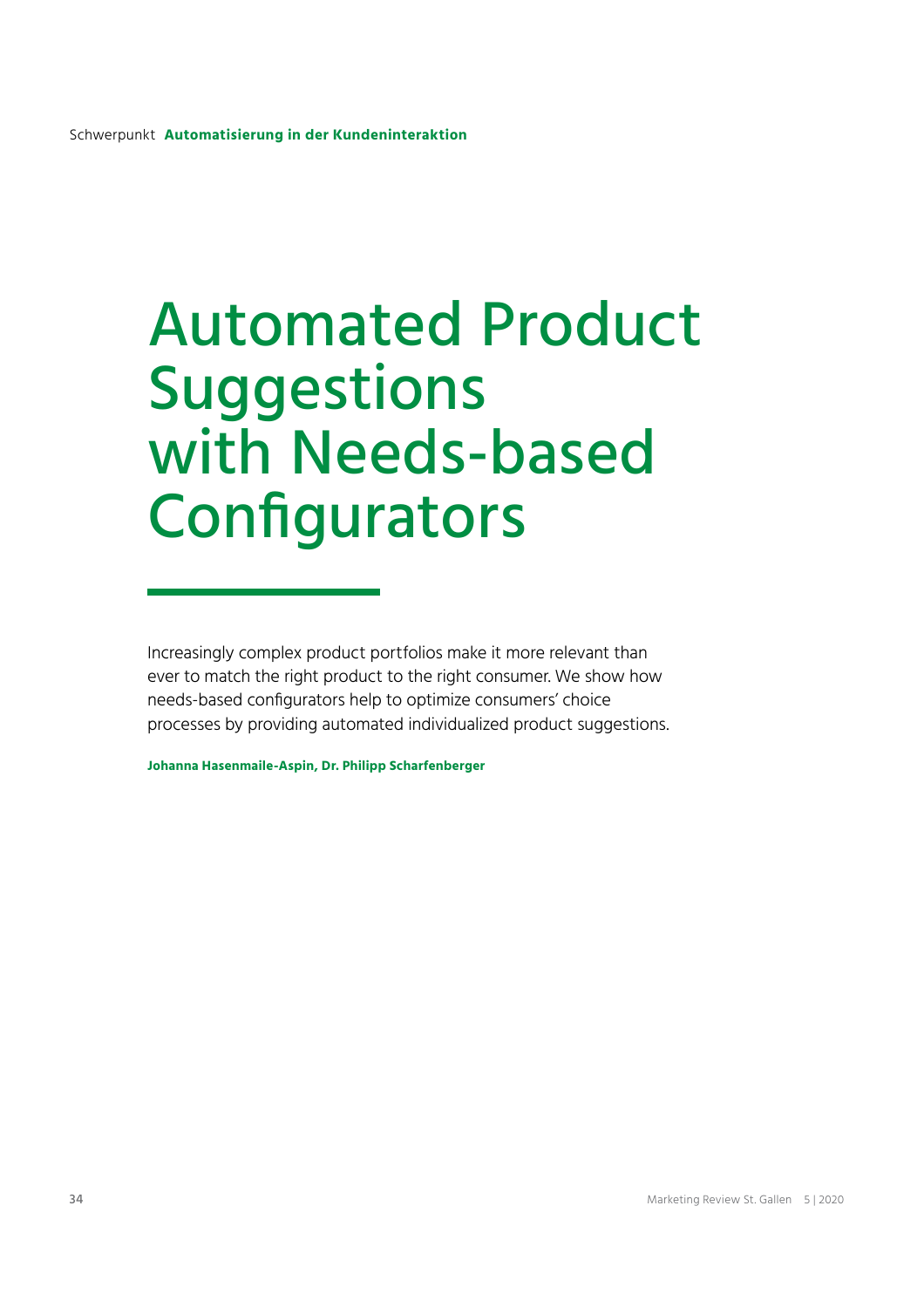# Automated Product **Suggestions** with Needs-based Configurators

Increasingly complex product portfolios make it more relevant than ever to match the right product to the right consumer. We show how needs-based configurators help to optimize consumers' choice processes by providing automated individualized product suggestions.

**Johanna Hasenmaile-Aspin, Dr. Philipp Scharfenberger**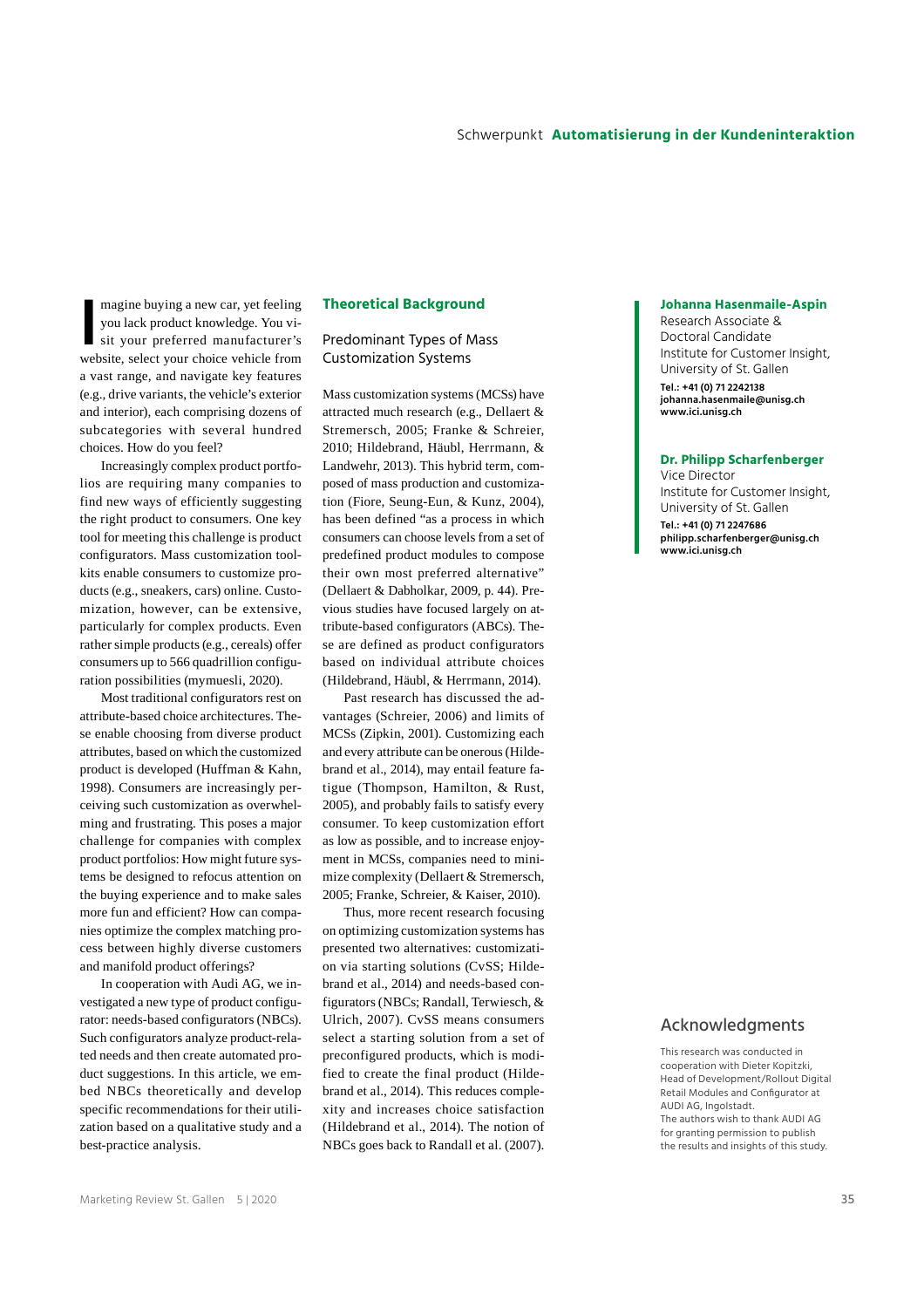magine buying a new car, yet feeling<br>you lack product knowledge. You vi-<br>sit your preferred manufacturer's<br>website, select your choice vehicle from magine buying a new car, yet feeling you lack product knowledge. You visit your preferred manufacturer's a vast range, and navigate key features (e.g., drive variants, the vehicle's exterior and interior), each comprising dozens of subcategories with several hundred choices. How do you feel?

Increasingly complex product portfolios are requiring many companies to find new ways of efficiently suggesting the right product to consumers. One key tool for meeting this challenge is product configurators. Mass customization toolkits enable consumers to customize products (e.g., sneakers, cars) online. Customization, however, can be extensive, particularly for complex products. Even rather simple products (e.g., cereals) offer consumers up to 566 quadrillion configuration possibilities (mymuesli, 2020).

Most traditional configurators rest on attribute-based choice architectures. These enable choosing from diverse product attributes, based on which the customized product is developed (Huffman & Kahn, 1998). Consumers are increasingly perceiving such customization as overwhelming and frustrating. This poses a major challenge for companies with complex product portfolios: How might future systems be designed to refocus attention on the buying experience and to make sales more fun and efficient? How can companies optimize the complex matching process between highly diverse customers and manifold product offerings?

In cooperation with Audi AG, we investigated a new type of product configurator: needs-based configurators (NBCs). Such configurators analyze product-related needs and then create automated product suggestions. In this article, we embed NBCs theoretically and develop specific recommendations for their utilization based on a qualitative study and a best-practice analysis.

## **Theoretical Background**

## Predominant Types of Mass Customization Systems

Mass customization systems (MCSs) have attracted much research (e.g., Dellaert & Stremersch, 2005; Franke & Schreier, 2010; Hildebrand, Häubl, Herrmann, & Landwehr, 2013). This hybrid term, composed of mass production and customization (Fiore, Seung-Eun, & Kunz, 2004), has been defined "as a process in which consumers can choose levels from a set of predefined product modules to compose their own most preferred alternative" (Dellaert & Dabholkar, 2009, p. 44). Previous studies have focused largely on attribute-based configurators (ABCs). These are defined as product configurators based on individual attribute choices (Hildebrand, Häubl, & Herrmann, 2014).

Past research has discussed the advantages (Schreier, 2006) and limits of MCSs (Zipkin, 2001). Customizing each and every attribute can be onerous (Hildebrand et al., 2014), may entail feature fatigue (Thompson, Hamilton, & Rust, 2005), and probably fails to satisfy every consumer. To keep customization effort as low as possible, and to increase enjoyment in MCSs, companies need to minimize complexity (Dellaert & Stremersch, 2005; Franke, Schreier, & Kaiser, 2010).

Thus, more recent research focusing on optimizing customization systems has presented two alternatives: customization via starting solutions (CvSS; Hildebrand et al., 2014) and needs-based configurators (NBCs; Randall, Terwiesch, & Ulrich, 2007). CvSS means consumers select a starting solution from a set of preconfigured products, which is modified to create the final product (Hildebrand et al., 2014). This reduces complexity and increases choice satisfaction (Hildebrand et al., 2014). The notion of NBCs goes back to Randall et al. (2007).

#### **Johanna Hasenmaile-Aspin**

Research Associate & Doctoral Candidate Institute for Customer Insight, University of St. Gallen **Tel.: +41 (0) 71 2242138 johanna.hasenmaile@unisg.ch www.ici.unisg.ch** 

#### **Dr. Philipp Scharfenberger**

Vice Director Institute for Customer Insight, University of St. Gallen **Tel.: +41 (0) 71 2247686 philipp.scharfenberger@unisg.ch www.ici.unisg.ch** 

## Acknowledgments

This research was conducted in cooperation with Dieter Kopitzki, Head of Development/Rollout Digital Retail Modules and Configurator at AUDI AG, Ingolstadt. The authors wish to thank AUDI AG for granting permission to publish the results and insights of this study.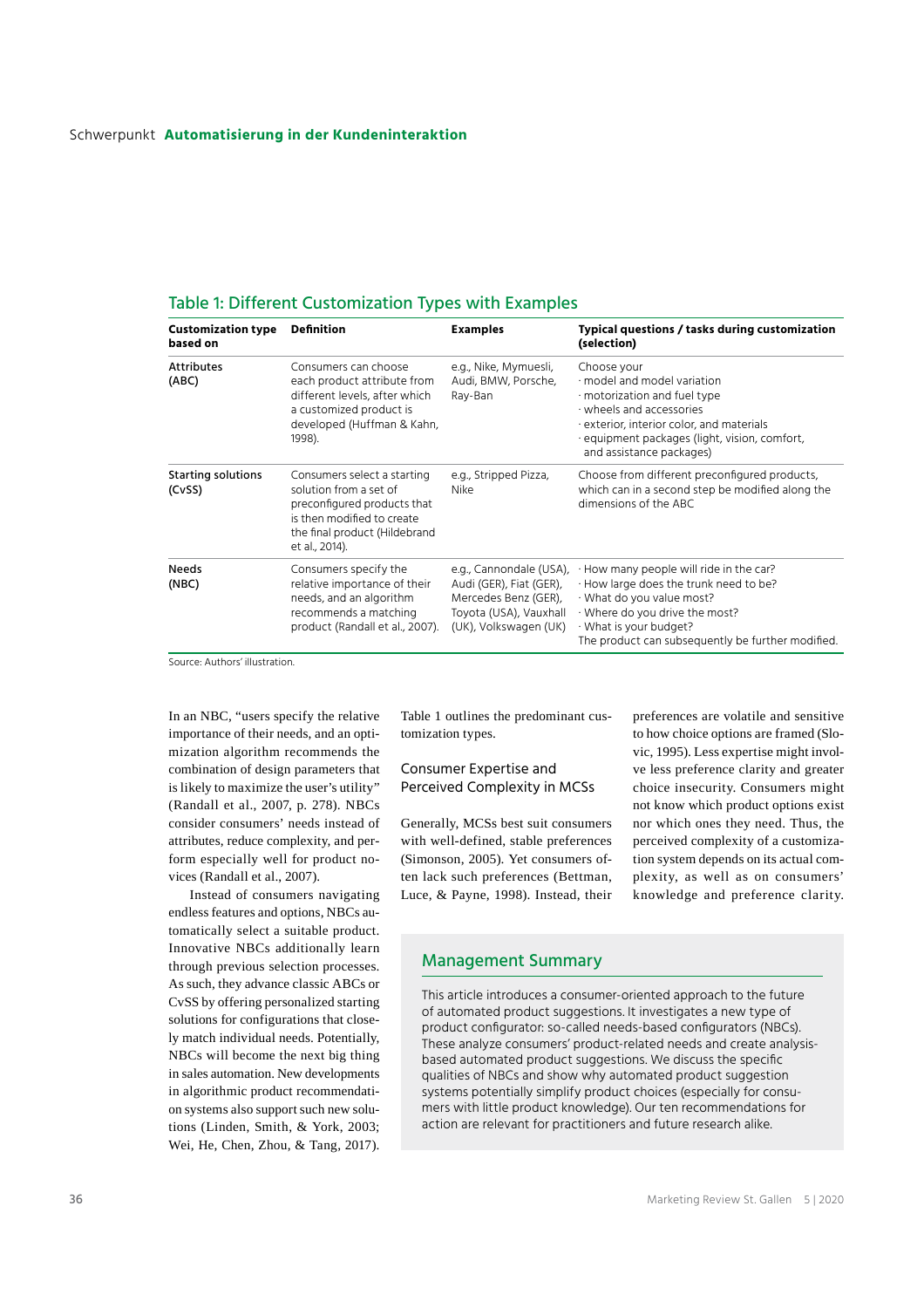## Schwerpunkt **Automatisierung in der Kundeninteraktion**

| <b>Customization type</b><br>based on | <b>Definition</b>                                                                                                                                                     | <b>Examples</b>                                                                                                               | Typical questions / tasks during customization<br>(selection)                                                                                                                                                                      |
|---------------------------------------|-----------------------------------------------------------------------------------------------------------------------------------------------------------------------|-------------------------------------------------------------------------------------------------------------------------------|------------------------------------------------------------------------------------------------------------------------------------------------------------------------------------------------------------------------------------|
| <b>Attributes</b><br>(ABC)            | Consumers can choose<br>each product attribute from<br>different levels, after which<br>a customized product is<br>developed (Huffman & Kahn,<br>1998).               | e.g., Nike, Mymuesli,<br>Audi, BMW, Porsche,<br>Ray-Ban                                                                       | Choose your<br>$\cdot$ model and model variation<br>motorization and fuel type<br>· wheels and accessories<br>exterior, interior color, and materials<br>· equipment packages (light, vision, comfort,<br>and assistance packages) |
| <b>Starting solutions</b><br>(CvSS)   | Consumers select a starting<br>solution from a set of<br>preconfigured products that<br>is then modified to create<br>the final product (Hildebrand<br>et al., 2014). | e.g., Stripped Pizza,<br>Nike                                                                                                 | Choose from different preconfigured products,<br>which can in a second step be modified along the<br>dimensions of the ABC                                                                                                         |
| <b>Needs</b><br>(NBC)                 | Consumers specify the<br>relative importance of their<br>needs, and an algorithm<br>recommends a matching<br>product (Randall et al., 2007).                          | e.g., Cannondale (USA),<br>Audi (GER), Fiat (GER),<br>Mercedes Benz (GER),<br>Toyota (USA), Vauxhall<br>(UK), Volkswagen (UK) | · How many people will ride in the car?<br>· How large does the trunk need to be?<br>· What do you value most?<br>· Where do you drive the most?<br>· What is your budget?<br>The product can subsequently be further modified.    |

## Table 1: Different Customization Types with Examples

SOUTCE: Authors' illustration

In an NBC, "users specify the relative importance of their needs, and an optimization algorithm recommends the combination of design parameters that is likely to maximize the user's utility" (Randall et al., 2007, p. 278). NBCs consider consumers' needs instead of attributes, reduce complexity, and perform especially well for product novices (Randall et al., 2007).

Instead of consumers navigating endless features and options, NBCs automatically select a suitable product. Innovative NBCs additionally learn through previous selection processes. As such, they advance classic ABCs or CvSS by offering personalized starting solutions for configurations that closely match individual needs. Potentially, NBCs will become the next big thing in sales automation. New developments in algorithmic product recommendation systems also support such new solutions (Linden, Smith, & York, 2003; Wei, He, Chen, Zhou, & Tang, 2017). Table 1 outlines the predominant customization types.

## Consumer Expertise and Perceived Complexity in MCSs

Generally, MCSs best suit consumers with well-defined, stable preferences (Simonson, 2005). Yet consumers often lack such preferences (Bettman, Luce, & Payne, 1998). Instead, their

preferences are volatile and sensitive to how choice options are framed (Slovic, 1995). Less expertise might involve less preference clarity and greater choice insecurity. Consumers might not know which product options exist nor which ones they need. Thus, the perceived complexity of a customization system depends on its actual complexity, as well as on consumers' knowledge and preference clarity.

# Management Summary

This article introduces a consumer-oriented approach to the future of automated product suggestions. It investigates a new type of product configurator: so-called needs-based configurators (NBCs). These analyze consumers' product-related needs and create analysisbased automated product suggestions. We discuss the specific qualities of NBCs and show why automated product suggestion systems potentially simplify product choices (especially for consumers with little product knowledge). Our ten recommendations for action are relevant for practitioners and future research alike.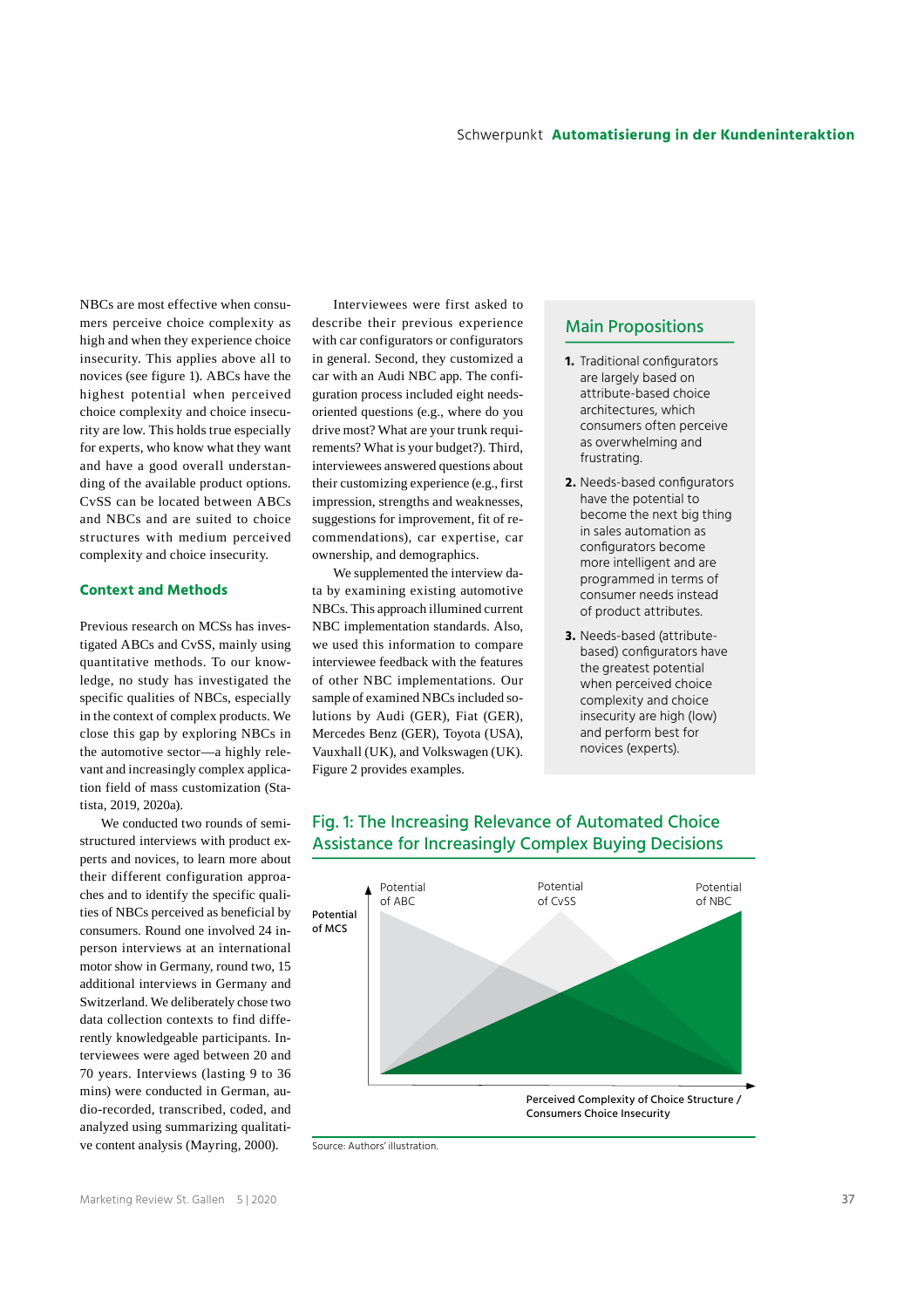NBCs are most effective when consumers perceive choice complexity as high and when they experience choice insecurity. This applies above all to novices (see figure 1). ABCs have the highest potential when perceived choice complexity and choice insecurity are low. This holds true especially for experts, who know what they want and have a good overall understanding of the available product options. CvSS can be located between ABCs and NBCs and are suited to choice structures with medium perceived complexity and choice insecurity.

## **Context and Methods**

Previous research on MCSs has investigated ABCs and CvSS, mainly using quantitative methods. To our knowledge, no study has investigated the specific qualities of NBCs, especially in the context of complex products. We close this gap by exploring NBCs in the automotive sector—a highly relevant and increasingly complex application field of mass customization (Statista, 2019, 2020a).

We conducted two rounds of semistructured interviews with product experts and novices, to learn more about their different configuration approaches and to identify the specific qualities of NBCs perceived as beneficial by consumers. Round one involved 24 inperson interviews at an international motor show in Germany, round two, 15 additional interviews in Germany and Switzerland. We deliberately chose two data collection contexts to find differently knowledgeable participants. Interviewees were aged between 20 and 70 years. Interviews (lasting 9 to 36 mins) were conducted in German, audio-recorded, transcribed, coded, and analyzed using summarizing qualitative content analysis (Mayring, 2000).

Interviewees were first asked to describe their previous experience with car configurators or configurators in general. Second, they customized a car with an Audi NBC app. The configuration process included eight needsoriented questions (e.g., where do you drive most? What are your trunk requirements? What is your budget?). Third, interviewees answered questions about their customizing experience (e.g., first impression, strengths and weaknesses, suggestions for improvement, fit of recommendations), car expertise, car ownership, and demographics.

We supplemented the interview data by examining existing automotive NBCs. This approach illumined current NBC implementation standards. Also, we used this information to compare interviewee feedback with the features of other NBC implementations. Our sample of examined NBCs included solutions by Audi (GER), Fiat (GER), Mercedes Benz (GER), Toyota (USA), Vauxhall (UK), and Volkswagen (UK). Figure 2 provides examples.

## Main Propositions

- **1.** Traditional configurators are largely based on attribute-based choice architectures, which consumers often perceive as overwhelming and frustrating.
- **2.** Needs-based configurators have the potential to become the next big thing in sales automation as configurators become more intelligent and are programmed in terms of consumer needs instead of product attributes.
- **3.** Needs-based (attributebased) configurators have the greatest potential when perceived choice complexity and choice insecurity are high (low) and perform best for novices (experts).



# Fig. 1: The Increasing Relevance of Automated Choice Assistance for Increasingly Complex Buying Decisions

Source: Authors' illustration.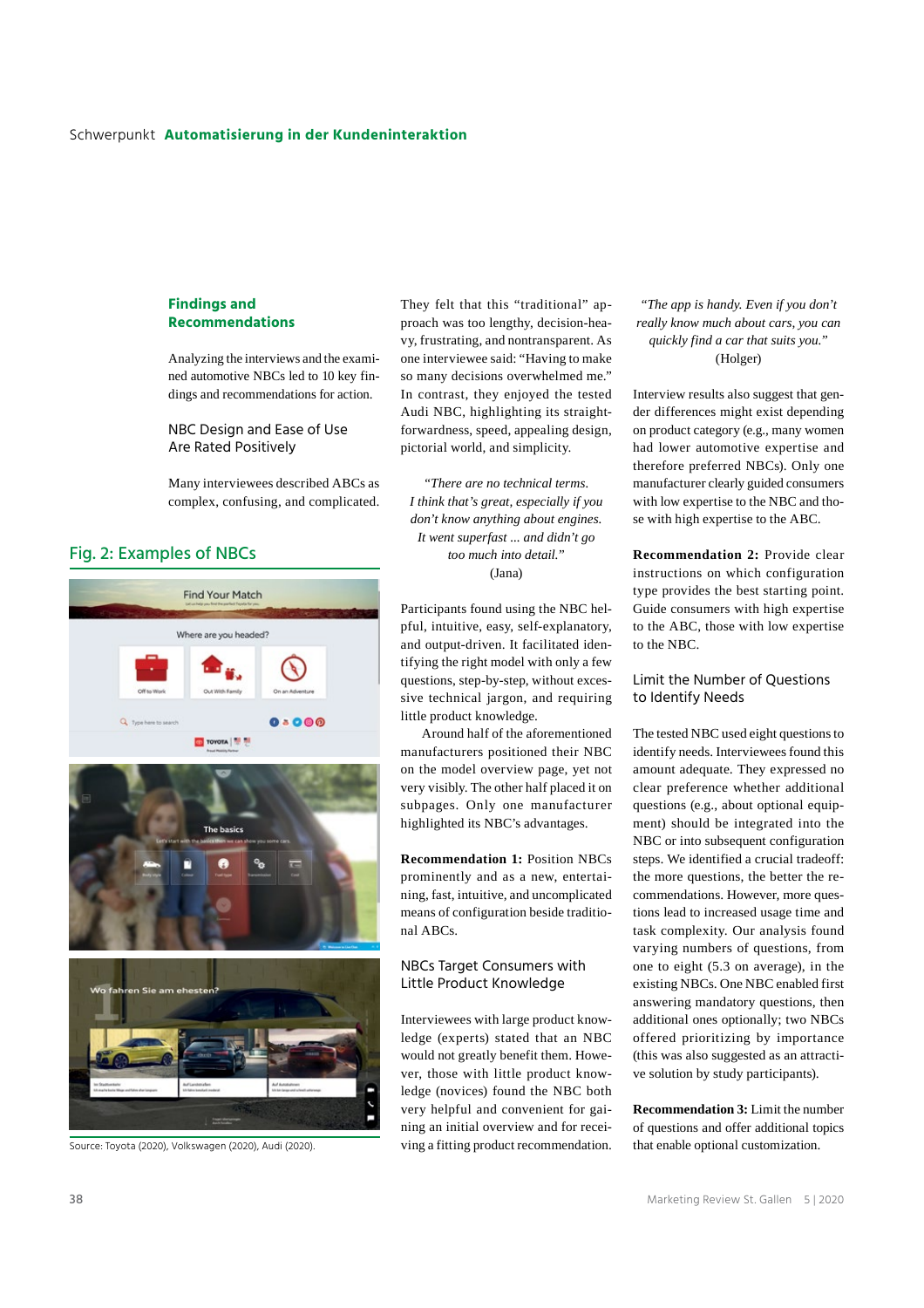## Schwerpunkt **Automatisierung in der Kundeninteraktion**

## **Findings and Recommendations**

Analyzing the interviews and the examined automotive NBCs led to 10 key findings and recommendations for action.

NBC Design and Ease of Use Are Rated Positively

Many interviewees described ABCs as complex, confusing, and complicated.

# Fig. 2: Examples of NBCs



They felt that this "traditional" approach was too lengthy, decision-heavy, frustrating, and nontransparent. As one interviewee said: "Having to make so many decisions overwhelmed me." In contrast, they enjoyed the tested Audi NBC, highlighting its straightforwardness, speed, appealing design, pictorial world, and simplicity.

*"There are no technical terms. I think that's great, especially if you don't know anything about engines. It went superfast ... and didn't go too much into detail."* (Jana)

Participants found using the NBC helpful, intuitive, easy, self-explanatory, and output-driven. It facilitated identifying the right model with only a few questions, step-by-step, without excessive technical jargon, and requiring little product knowledge.

Around half of the aforementioned manufacturers positioned their NBC on the model overview page, yet not very visibly. The other half placed it on subpages. Only one manufacturer highlighted its NBC's advantages.

**Recommendation 1:** Position NBCs prominently and as a new, entertaining, fast, intuitive, and uncomplicated means of configuration beside traditional ABCs.

## NBCs Target Consumers with Little Product Knowledge

Interviewees with large product knowledge (experts) stated that an NBC would not greatly benefit them. However, those with little product knowledge (novices) found the NBC both very helpful and convenient for gaining an initial overview and for recei-Source: Toyota (2020), Volkswagen (2020), Audi (2020). ving a fitting product recommendation.

# *"The app is handy. Even if you don't really know much about cars, you can quickly find a car that suits you."*  (Holger)

Interview results also suggest that gender differences might exist depending on product category (e.g., many women had lower automotive expertise and therefore preferred NBCs). Only one manufacturer clearly guided consumers with low expertise to the NBC and those with high expertise to the ABC.

**Recommendation 2:** Provide clear instructions on which configuration type provides the best starting point. Guide consumers with high expertise to the ABC, those with low expertise to the NBC.

## Limit the Number of Questions to Identify Needs

The tested NBC used eight questions to identify needs. Interviewees found this amount adequate. They expressed no clear preference whether additional questions (e.g., about optional equipment) should be integrated into the NBC or into subsequent configuration steps. We identified a crucial tradeoff: the more questions, the better the recommendations. However, more questions lead to increased usage time and task complexity. Our analysis found varying numbers of questions, from one to eight (5.3 on average), in the existing NBCs. One NBC enabled first answering mandatory questions, then additional ones optionally; two NBCs offered prioritizing by importance (this was also suggested as an attractive solution by study participants).

**Recommendation 3:** Limit the number of questions and offer additional topics that enable optional customization.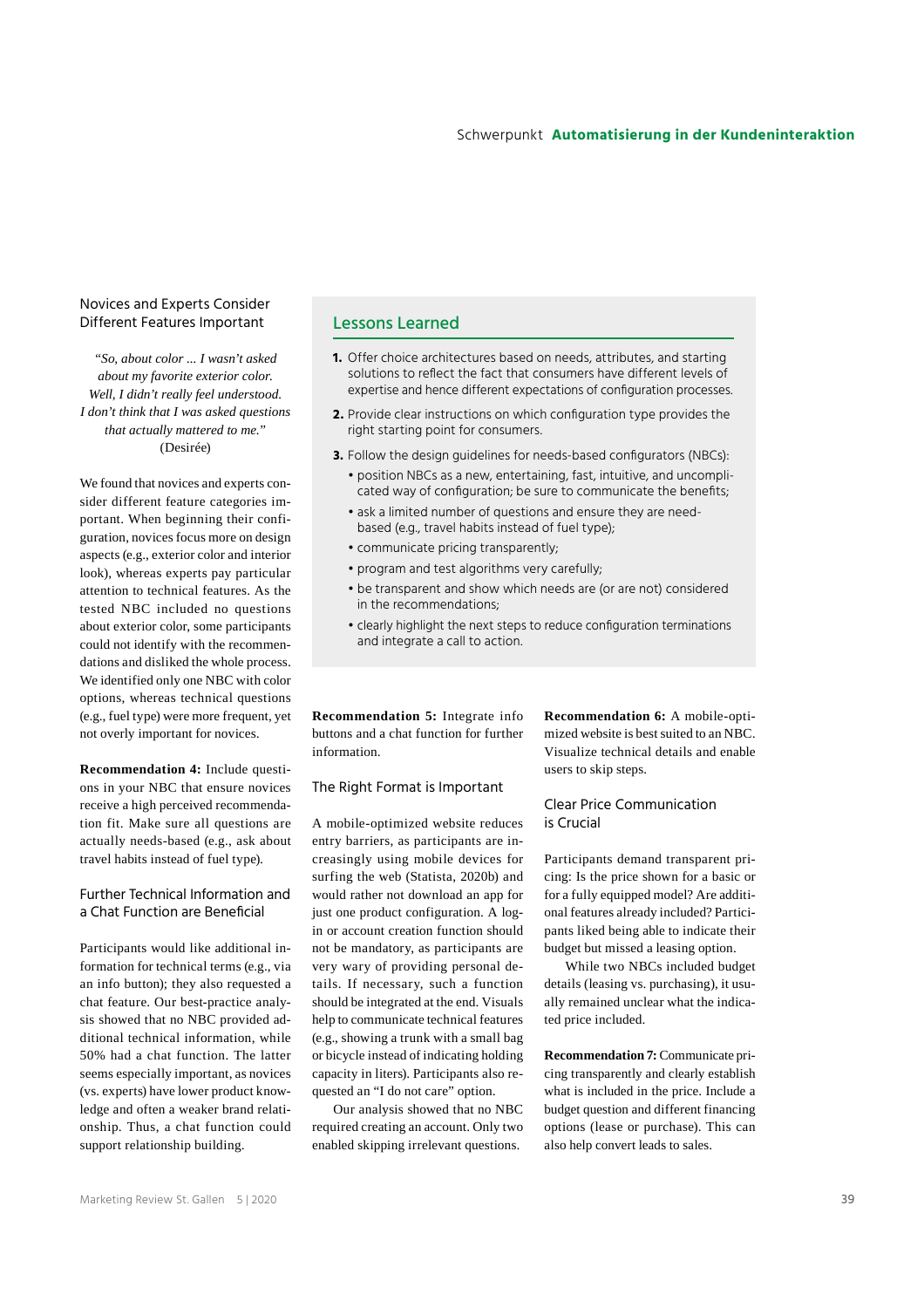## Novices and Experts Consider Different Features Important

*"So, about color ... I wasn't asked about my favorite exterior color. Well, I didn't really feel understood. I don't think that I was asked questions that actually mattered to me."*  (Desirée)

We found that novices and experts consider different feature categories important. When beginning their configuration, novices focus more on design aspects (e.g., exterior color and interior look), whereas experts pay particular attention to technical features. As the tested NBC included no questions about exterior color, some participants could not identify with the recommendations and disliked the whole process. We identified only one NBC with color options, whereas technical questions (e.g., fuel type) were more frequent, yet not overly important for novices.

**Recommendation 4:** Include questions in your NBC that ensure novices receive a high perceived recommendation fit. Make sure all questions are actually needs-based (e.g., ask about travel habits instead of fuel type).

# Further Technical Information and a Chat Function are Beneficial

Participants would like additional information for technical terms (e.g., via an info button); they also requested a chat feature. Our best-practice analysis showed that no NBC provided additional technical information, while 50% had a chat function. The latter seems especially important, as novices (vs. experts) have lower product knowledge and often a weaker brand relationship. Thus, a chat function could support relationship building.

# Lessons Learned

- **1.** Offer choice architectures based on needs, attributes, and starting solutions to reflect the fact that consumers have different levels of expertise and hence different expectations of configuration processes.
- **2.** Provide clear instructions on which configuration type provides the right starting point for consumers.
- **3.** Follow the design guidelines for needs-based configurators (NBCs):
	- position NBCs as a new, entertaining, fast, intuitive, and uncomplicated way of configuration; be sure to communicate the benefits;
	- ask a limited number of questions and ensure they are needbased (e.g., travel habits instead of fuel type);
	- communicate pricing transparently;
	- program and test algorithms very carefully;
	- be transparent and show which needs are (or are not) considered in the recommendations;
	- clearly highlight the next steps to reduce configuration terminations and integrate a call to action.

**Recommendation 5:** Integrate info buttons and a chat function for further information.

#### The Right Format is Important

A mobile-optimized website reduces entry barriers, as participants are increasingly using mobile devices for surfing the web (Statista, 2020b) and would rather not download an app for just one product configuration. A login or account creation function should not be mandatory, as participants are very wary of providing personal details. If necessary, such a function should be integrated at the end. Visuals help to communicate technical features (e.g., showing a trunk with a small bag or bicycle instead of indicating holding capacity in liters). Participants also requested an "I do not care" option.

Our analysis showed that no NBC required creating an account. Only two enabled skipping irrelevant questions.

**Recommendation 6:** A mobile-optimized website is best suited to an NBC. Visualize technical details and enable users to skip steps.

## Clear Price Communication is Crucial

Participants demand transparent pricing: Is the price shown for a basic or for a fully equipped model? Are additional features already included? Participants liked being able to indicate their budget but missed a leasing option.

While two NBCs included budget details (leasing vs. purchasing), it usually remained unclear what the indicated price included.

**Recommendation 7:** Communicate pricing transparently and clearly establish what is included in the price. Include a budget question and different financing options (lease or purchase). This can also help convert leads to sales.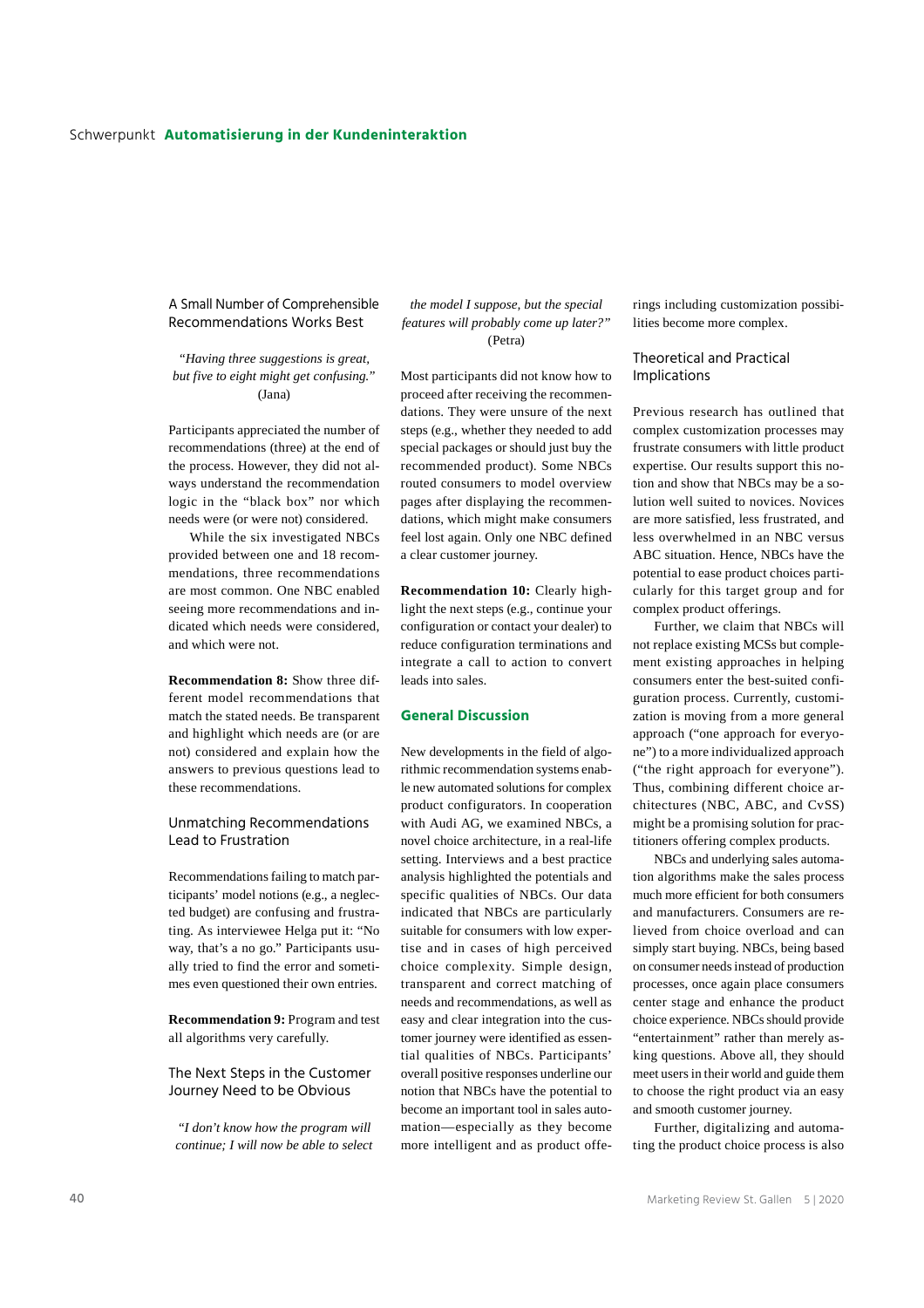A Small Number of Comprehensible Recommendations Works Best

*"Having three suggestions is great, but five to eight might get confusing."*  (Jana)

Participants appreciated the number of recommendations (three) at the end of the process. However, they did not always understand the recommendation logic in the "black box" nor which needs were (or were not) considered.

While the six investigated NBCs provided between one and 18 recommendations, three recommendations are most common. One NBC enabled seeing more recommendations and indicated which needs were considered, and which were not.

**Recommendation 8:** Show three different model recommendations that match the stated needs. Be transparent and highlight which needs are (or are not) considered and explain how the answers to previous questions lead to these recommendations.

Unmatching Recommendations Lead to Frustration

Recommendations failing to match participants' model notions (e.g., a neglected budget) are confusing and frustrating. As interviewee Helga put it: "No way, that's a no go." Participants usually tried to find the error and sometimes even questioned their own entries.

**Recommendation 9:** Program and test all algorithms very carefully.

The Next Steps in the Customer Journey Need to be Obvious

*"I don't know how the program will continue; I will now be able to select* 

*the model I suppose, but the special features will probably come up later?"*  (Petra)

Most participants did not know how to proceed after receiving the recommendations. They were unsure of the next steps (e.g., whether they needed to add special packages or should just buy the recommended product). Some NBCs routed consumers to model overview pages after displaying the recommendations, which might make consumers feel lost again. Only one NBC defined a clear customer journey.

**Recommendation 10:** Clearly highlight the next steps (e.g., continue your configuration or contact your dealer) to reduce configuration terminations and integrate a call to action to convert leads into sales.

#### **General Discussion**

New developments in the field of algorithmic recommendation systems enable new automated solutions for complex product configurators. In cooperation with Audi AG, we examined NBCs, a novel choice architecture, in a real-life setting. Interviews and a best practice analysis highlighted the potentials and specific qualities of NBCs. Our data indicated that NBCs are particularly suitable for consumers with low expertise and in cases of high perceived choice complexity. Simple design, transparent and correct matching of needs and recommendations, as well as easy and clear integration into the customer journey were identified as essential qualities of NBCs. Participants' overall positive responses underline our notion that NBCs have the potential to become an important tool in sales automation—especially as they become more intelligent and as product offerings including customization possibilities become more complex.

## Theoretical and Practical Implications

Previous research has outlined that complex customization processes may frustrate consumers with little product expertise. Our results support this notion and show that NBCs may be a solution well suited to novices. Novices are more satisfied, less frustrated, and less overwhelmed in an NBC versus ABC situation. Hence, NBCs have the potential to ease product choices particularly for this target group and for complex product offerings.

Further, we claim that NBCs will not replace existing MCSs but complement existing approaches in helping consumers enter the best-suited configuration process. Currently, customization is moving from a more general approach ("one approach for everyone") to a more individualized approach ("the right approach for everyone"). Thus, combining different choice architectures (NBC, ABC, and CvSS) might be a promising solution for practitioners offering complex products.

NBCs and underlying sales automation algorithms make the sales process much more efficient for both consumers and manufacturers. Consumers are relieved from choice overload and can simply start buying. NBCs, being based on consumer needs instead of production processes, once again place consumers center stage and enhance the product choice experience. NBCs should provide "entertainment" rather than merely asking questions. Above all, they should meet users in their world and guide them to choose the right product via an easy and smooth customer journey.

Further, digitalizing and automating the product choice process is also